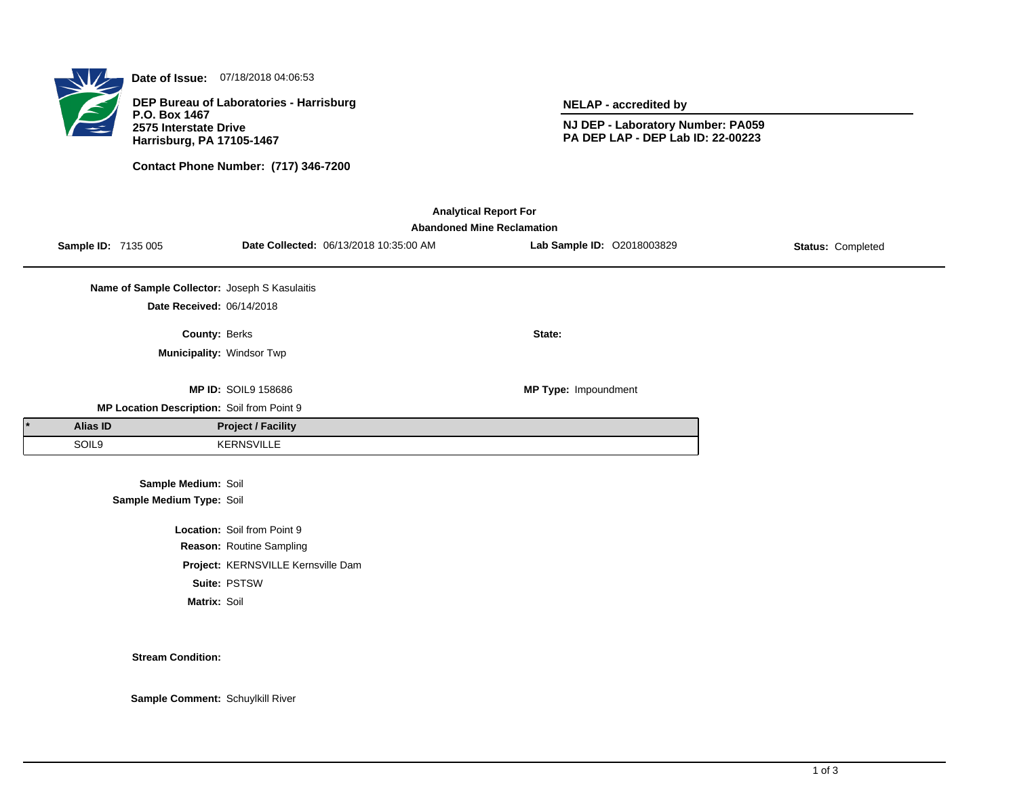

**Date of Issue:** 07/18/2018 04:06:53

**DEP Bureau of Laboratories - Harrisburg P.O. Box 1467 2575 Interstate Drive Harrisburg, PA 17105-1467**

**Contact Phone Number: (717) 346-7200**

**NELAP - accredited by**

**NJ DEP - Laboratory Number: PA059 PA DEP LAP - DEP Lab ID: 22-00223**

| <b>Analytical Report For</b><br><b>Abandoned Mine Reclamation</b> |                                               |                                    |                                        |                            |                   |  |  |  |  |
|-------------------------------------------------------------------|-----------------------------------------------|------------------------------------|----------------------------------------|----------------------------|-------------------|--|--|--|--|
| Sample ID: 7135 005                                               |                                               |                                    | Date Collected: 06/13/2018 10:35:00 AM | Lab Sample ID: 02018003829 | Status: Completed |  |  |  |  |
|                                                                   | Name of Sample Collector: Joseph S Kasulaitis |                                    |                                        |                            |                   |  |  |  |  |
|                                                                   | Date Received: 06/14/2018                     |                                    |                                        |                            |                   |  |  |  |  |
|                                                                   | County: Berks                                 |                                    |                                        | State:                     |                   |  |  |  |  |
|                                                                   | Municipality: Windsor Twp                     |                                    |                                        |                            |                   |  |  |  |  |
|                                                                   |                                               | <b>MP ID: SOIL9 158686</b>         |                                        | MP Type: Impoundment       |                   |  |  |  |  |
|                                                                   | MP Location Description: Soil from Point 9    |                                    |                                        |                            |                   |  |  |  |  |
| <b>Alias ID</b>                                                   |                                               | <b>Project / Facility</b>          |                                        |                            |                   |  |  |  |  |
| SOIL9                                                             |                                               | <b>KERNSVILLE</b>                  |                                        |                            |                   |  |  |  |  |
|                                                                   | Sample Medium: Soil                           |                                    |                                        |                            |                   |  |  |  |  |
|                                                                   | Sample Medium Type: Soil                      |                                    |                                        |                            |                   |  |  |  |  |
|                                                                   |                                               | Location: Soil from Point 9        |                                        |                            |                   |  |  |  |  |
|                                                                   |                                               | Reason: Routine Sampling           |                                        |                            |                   |  |  |  |  |
|                                                                   |                                               | Project: KERNSVILLE Kernsville Dam |                                        |                            |                   |  |  |  |  |
|                                                                   |                                               | Suite: PSTSW                       |                                        |                            |                   |  |  |  |  |
|                                                                   | Matrix: Soil                                  |                                    |                                        |                            |                   |  |  |  |  |

**Stream Condition:**

**Sample Comment:** Schuylkill River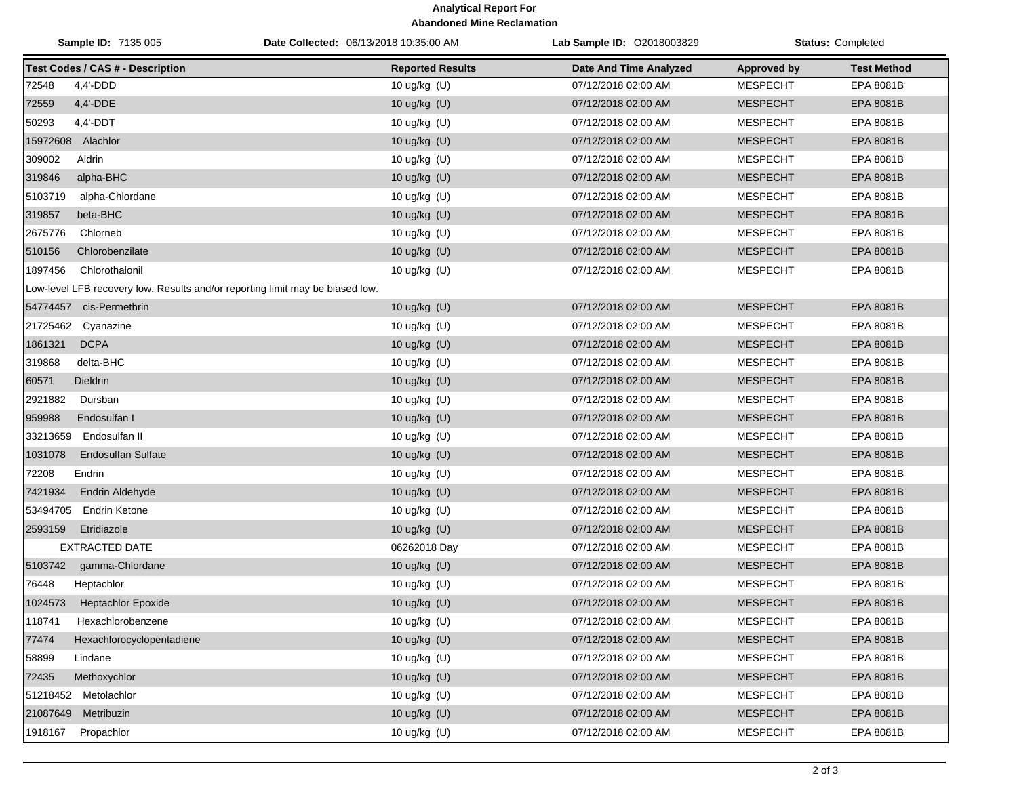## **Analytical Report For Abandoned Mine Reclamation**

| <b>Sample ID: 7135 005</b>                                                    | Date Collected: 06/13/2018 10:35:00 AM | <b>Lab Sample ID: 02018003829</b> | <b>Status: Completed</b> |                    |
|-------------------------------------------------------------------------------|----------------------------------------|-----------------------------------|--------------------------|--------------------|
| <b>Test Codes / CAS # - Description</b>                                       | <b>Reported Results</b>                | <b>Date And Time Analyzed</b>     | <b>Approved by</b>       | <b>Test Method</b> |
| 72548<br>4,4'-DDD                                                             | 10 ug/kg (U)                           | 07/12/2018 02:00 AM               | <b>MESPECHT</b>          | EPA 8081B          |
| 72559<br>4,4'-DDE                                                             | 10 ug/kg $(U)$                         | 07/12/2018 02:00 AM               | <b>MESPECHT</b>          | <b>EPA 8081B</b>   |
| 50293<br>$4,4'$ -DDT                                                          | 10 ug/kg (U)                           | 07/12/2018 02:00 AM               | <b>MESPECHT</b>          | EPA 8081B          |
| 15972608 Alachlor                                                             | 10 ug/kg (U)                           | 07/12/2018 02:00 AM               | <b>MESPECHT</b>          | <b>EPA 8081B</b>   |
| 309002<br>Aldrin                                                              | 10 ug/kg (U)                           | 07/12/2018 02:00 AM               | <b>MESPECHT</b>          | EPA 8081B          |
| 319846<br>alpha-BHC                                                           | 10 ug/kg (U)                           | 07/12/2018 02:00 AM               | <b>MESPECHT</b>          | EPA 8081B          |
| 5103719<br>alpha-Chlordane                                                    | 10 ug/kg (U)                           | 07/12/2018 02:00 AM               | <b>MESPECHT</b>          | EPA 8081B          |
| 319857<br>beta-BHC                                                            | 10 ug/kg (U)                           | 07/12/2018 02:00 AM               | <b>MESPECHT</b>          | EPA 8081B          |
| 2675776<br>Chlorneb                                                           | 10 ug/kg (U)                           | 07/12/2018 02:00 AM               | <b>MESPECHT</b>          | EPA 8081B          |
| 510156<br>Chlorobenzilate                                                     | 10 ug/kg (U)                           | 07/12/2018 02:00 AM               | <b>MESPECHT</b>          | <b>EPA 8081B</b>   |
| 1897456<br>Chlorothalonil                                                     | 10 ug/kg (U)                           | 07/12/2018 02:00 AM               | <b>MESPECHT</b>          | EPA 8081B          |
| Low-level LFB recovery low. Results and/or reporting limit may be biased low. |                                        |                                   |                          |                    |
| 54774457 cis-Permethrin                                                       | 10 ug/kg $(U)$                         | 07/12/2018 02:00 AM               | <b>MESPECHT</b>          | EPA 8081B          |
| 21725462<br>Cyanazine                                                         | 10 ug/kg (U)                           | 07/12/2018 02:00 AM               | <b>MESPECHT</b>          | EPA 8081B          |
| <b>DCPA</b><br>1861321                                                        | 10 ug/kg (U)                           | 07/12/2018 02:00 AM               | <b>MESPECHT</b>          | <b>EPA 8081B</b>   |
| 319868<br>delta-BHC                                                           | 10 ug/kg (U)                           | 07/12/2018 02:00 AM               | <b>MESPECHT</b>          | EPA 8081B          |
| 60571<br>Dieldrin                                                             | 10 ug/kg $(U)$                         | 07/12/2018 02:00 AM               | <b>MESPECHT</b>          | EPA 8081B          |
| 2921882<br>Dursban                                                            | 10 ug/kg (U)                           | 07/12/2018 02:00 AM               | <b>MESPECHT</b>          | EPA 8081B          |
| 959988<br>Endosulfan I                                                        | 10 ug/kg (U)                           | 07/12/2018 02:00 AM               | <b>MESPECHT</b>          | EPA 8081B          |
| Endosulfan II<br>33213659                                                     | 10 ug/kg (U)                           | 07/12/2018 02:00 AM               | <b>MESPECHT</b>          | EPA 8081B          |
| 1031078<br><b>Endosulfan Sulfate</b>                                          | 10 ug/kg (U)                           | 07/12/2018 02:00 AM               | <b>MESPECHT</b>          | EPA 8081B          |
| 72208<br>Endrin                                                               | 10 ug/kg (U)                           | 07/12/2018 02:00 AM               | <b>MESPECHT</b>          | EPA 8081B          |
| 7421934<br>Endrin Aldehyde                                                    | 10 ug/kg (U)                           | 07/12/2018 02:00 AM               | <b>MESPECHT</b>          | EPA 8081B          |
| 53494705<br><b>Endrin Ketone</b>                                              | 10 ug/kg (U)                           | 07/12/2018 02:00 AM               | <b>MESPECHT</b>          | EPA 8081B          |
| 2593159<br>Etridiazole                                                        | 10 ug/kg (U)                           | 07/12/2018 02:00 AM               | <b>MESPECHT</b>          | EPA 8081B          |
| EXTRACTED DATE                                                                | 06262018 Day                           | 07/12/2018 02:00 AM               | <b>MESPECHT</b>          | EPA 8081B          |
| 5103742<br>gamma-Chlordane                                                    | 10 ug/kg (U)                           | 07/12/2018 02:00 AM               | <b>MESPECHT</b>          | <b>EPA 8081B</b>   |
| 76448<br>Heptachlor                                                           | 10 ug/kg (U)                           | 07/12/2018 02:00 AM               | <b>MESPECHT</b>          | EPA 8081B          |
| 1024573<br><b>Heptachlor Epoxide</b>                                          | 10 ug/kg (U)                           | 07/12/2018 02:00 AM               | <b>MESPECHT</b>          | <b>EPA 8081B</b>   |
| 118741<br>Hexachlorobenzene                                                   | 10 ug/kg (U)                           | 07/12/2018 02:00 AM               | <b>MESPECHT</b>          | EPA 8081B          |
| 77474<br>Hexachlorocyclopentadiene                                            | 10 ug/kg (U)                           | 07/12/2018 02:00 AM               | <b>MESPECHT</b>          | EPA 8081B          |
| 58899<br>Lindane                                                              | 10 ug/kg (U)                           | 07/12/2018 02:00 AM               | <b>MESPECHT</b>          | EPA 8081B          |
| 72435<br>Methoxychlor                                                         | 10 ug/kg (U)                           | 07/12/2018 02:00 AM               | <b>MESPECHT</b>          | EPA 8081B          |
| 51218452<br>Metolachlor                                                       | 10 ug/kg (U)                           | 07/12/2018 02:00 AM               | <b>MESPECHT</b>          | EPA 8081B          |
| 21087649<br>Metribuzin                                                        | 10 ug/kg (U)                           | 07/12/2018 02:00 AM               | <b>MESPECHT</b>          | EPA 8081B          |
| 1918167<br>Propachlor                                                         | 10 ug/kg (U)                           | 07/12/2018 02:00 AM               | <b>MESPECHT</b>          | EPA 8081B          |